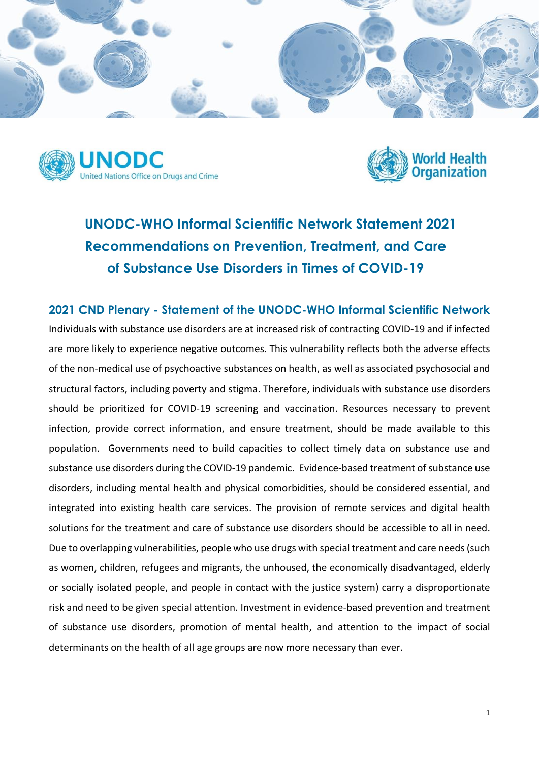





**UNODC-WHO Informal Scientific Network Statement 2021 Recommendations on Prevention, Treatment, and Care of Substance Use Disorders in Times of COVID-19** 

**2021 CND Plenary - Statement of the UNODC-WHO Informal Scientific Network**  Individuals with substance use disorders are at increased risk of contracting COVID-19 and if infected are more likely to experience negative outcomes. This vulnerability reflects both the adverse effects of the non-medical use of psychoactive substances on health, as well as associated psychosocial and structural factors, including poverty and stigma. Therefore, individuals with substance use disorders should be prioritized for COVID-19 screening and vaccination. Resources necessary to prevent infection, provide correct information, and ensure treatment, should be made available to this population. Governments need to build capacities to collect timely data on substance use and substance use disorders during the COVID-19 pandemic. Evidence-based treatment of substance use disorders, including mental health and physical comorbidities, should be considered essential, and integrated into existing health care services. The provision of remote services and digital health solutions for the treatment and care of substance use disorders should be accessible to all in need. Due to overlapping vulnerabilities, people who use drugs with special treatment and care needs (such as women, children, refugees and migrants, the unhoused, the economically disadvantaged, elderly or socially isolated people, and people in contact with the justice system) carry a disproportionate risk and need to be given special attention. Investment in evidence-based prevention and treatment of substance use disorders, promotion of mental health, and attention to the impact of social determinants on the health of all age groups are now more necessary than ever.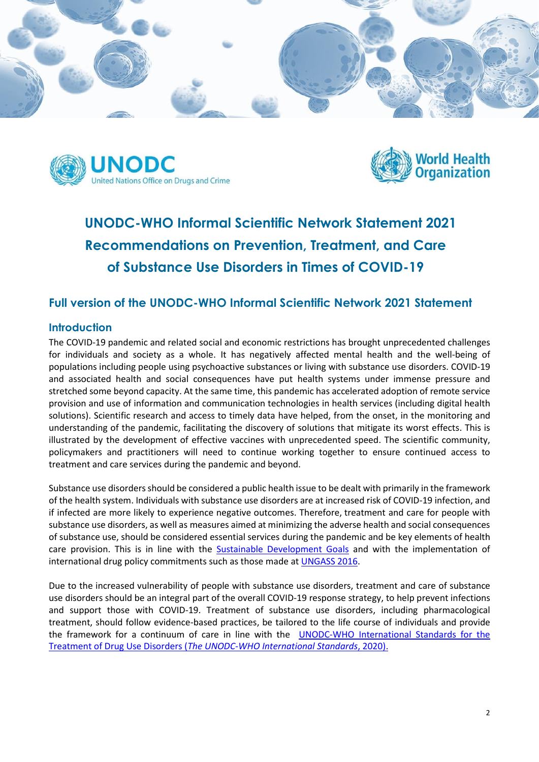





# **UNODC-WHO Informal Scientific Network Statement 2021 Recommendations on Prevention, Treatment, and Care of Substance Use Disorders in Times of COVID-19**

## **Full version of the UNODC-WHO Informal Scientific Network 2021 Statement**

#### **Introduction**

The COVID-19 pandemic and related social and economic restrictions has brought unprecedented challenges for individuals and society as a whole. It has negatively affected mental health and the well-being of populations including people using psychoactive substances or living with substance use disorders. COVID-19 and associated health and social consequences have put health systems under immense pressure and stretched some beyond capacity. At the same time, this pandemic has accelerated adoption of remote service provision and use of information and communication technologies in health services (including digital health solutions). Scientific research and access to timely data have helped, from the onset, in the monitoring and understanding of the pandemic, facilitating the discovery of solutions that mitigate its worst effects. This is illustrated by the development of effective vaccines with unprecedented speed. The scientific community, policymakers and practitioners will need to continue working together to ensure continued access to treatment and care services during the pandemic and beyond.

Substance use disorders should be considered a public health issue to be dealt with primarily in the framework of the health system. Individuals with substance use disorders are at increased risk of COVID-19 infection, and if infected are more likely to experience negative outcomes. Therefore, treatment and care for people with substance use disorders, as well as measures aimed at minimizing the adverse health and social consequences of substance use, should be considered essential services during the pandemic and be key elements of health care provision. This is in line with the [Sustainable Development Goals](https://sdgs.un.org/goals) and with the implementation of international drug policy commitments such as those made a[t UNGASS 2016.](https://www.unodc.org/documents/postungass2016/outcome/V1603301-E.pdf)

Due to the increased vulnerability of people with substance use disorders, treatment and care of substance use disorders should be an integral part of the overall COVID-19 response strategy, to help prevent infections and support those with COVID-19. Treatment of substance use disorders, including pharmacological treatment, should follow evidence-based practices, be tailored to the life course of individuals and provide the framework for a continuum of care in line with the [UNODC-WHO International Standards for the](https://www.unodc.org/documents/drug-prevention-and-treatment/UNODC-WHO_International_Standards_Treatment_Drug_Use_Disorders_April_2020.pdf)  Treatment of Drug Use Disorders (*[The UNODC-WHO International Standards](https://www.unodc.org/documents/drug-prevention-and-treatment/UNODC-WHO_International_Standards_Treatment_Drug_Use_Disorders_April_2020.pdf)*, 2020).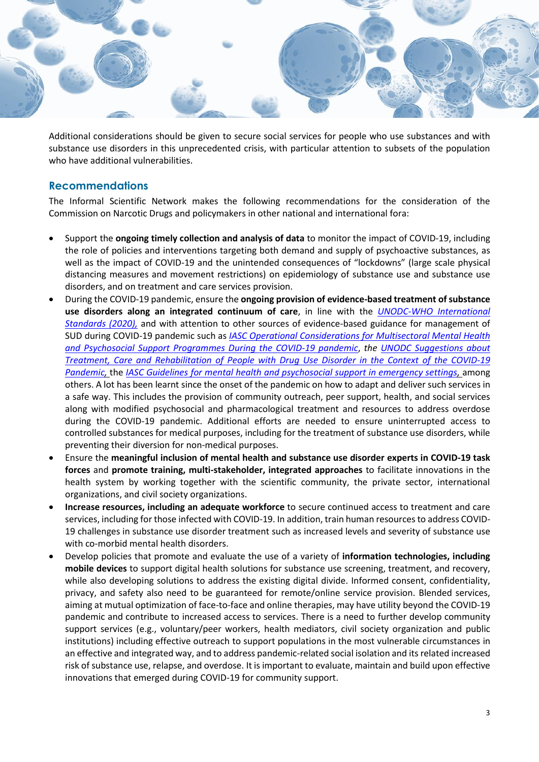

Additional considerations should be given to secure social services for people who use substances and with substance use disorders in this unprecedented crisis, with particular attention to subsets of the population who have additional vulnerabilities.

## **Recommendations**

The Informal Scientific Network makes the following recommendations for the consideration of the Commission on Narcotic Drugs and policymakers in other national and international fora:

- Support the **ongoing timely collection and analysis of data** to monitor the impact of COVID-19, including the role of policies and interventions targeting both demand and supply of psychoactive substances, as well as the impact of COVID-19 and the unintended consequences of "lockdowns" (large scale physical distancing measures and movement restrictions) on epidemiology of substance use and substance use disorders, and on treatment and care services provision.
- During the COVID-19 pandemic, ensure the **ongoing provision of evidence-based treatment of substance use disorders along an integrated continuum of care**, in line with the *[UNODC-WHO](https://www.unodc.org/documents/drug-prevention-and-treatment/UNODC-WHO_International_Standards_Treatment_Drug_Use_Disorders_April_2020.pdf) International [Standards](https://www.unodc.org/documents/drug-prevention-and-treatment/UNODC-WHO_International_Standards_Treatment_Drug_Use_Disorders_April_2020.pdf) (2020),* and with attention to other sources of evidence-based guidance for management of SUD during COVID-19 pandemic such as *IASC Operational [Considerations for](https://interagencystandingcommittee.org/system/files/2020-06/IASC%20Guidance%20on%20Operational%20considerations%20for%20Multisectoral%20MHPSS%20Programmes%20during%20the%20COVID-19%20Pandemic.pdf) Multisectoral Mental Health and Psychosocial Support Programmes [During the COVID-19](https://interagencystandingcommittee.org/system/files/2020-06/IASC%20Guidance%20on%20Operational%20considerations%20for%20Multisectoral%20MHPSS%20Programmes%20during%20the%20COVID-19%20Pandemic.pdf) pandemic*, *the [UNODC Suggestions about](https://www.unodc.org/documents/drug-prevention-and-treatment/UN-Covid19-infographic-200328-A4_1.pdf)  [Treatment, Care and Rehabilitation of People with Drug Use Disorder in the Context of the COVID-19](https://www.unodc.org/documents/drug-prevention-and-treatment/UN-Covid19-infographic-200328-A4_1.pdf)  [Pandemic,](https://www.unodc.org/documents/drug-prevention-and-treatment/UN-Covid19-infographic-200328-A4_1.pdf)* the *[IASC Guidelines for mental health and psychosocial support in emergency settings,](https://www.who.int/mental_health/emergencies/9781424334445/en/)* among others. A lot has been learnt since the onset of the pandemic on how to adapt and deliver such services in a safe way. This includes the provision of community outreach, peer support, health, and social services along with modified psychosocial and pharmacological treatment and resources to address overdose during the COVID-19 pandemic. Additional efforts are needed to ensure uninterrupted access to controlled substances for medical purposes, including for the treatment of substance use disorders, while preventing their diversion for non-medical purposes.
- Ensure the **meaningful inclusion of mental health and substance use disorder experts in COVID-19 task forces** and **promote training, multi-stakeholder, integrated approaches** to facilitate innovations in the health system by working together with the scientific community, the private sector, international organizations, and civil society organizations.
- **Increase resources, including an adequate workforce** to secure continued access to treatment and care services, including for those infected with COVID-19. In addition, train human resources to address COVID-19 challenges in substance use disorder treatment such as increased levels and severity of substance use with co-morbid mental health disorders.
- Develop policies that promote and evaluate the use of a variety of **information technologies, including mobile devices** to support digital health solutions for substance use screening, treatment, and recovery, while also developing solutions to address the existing digital divide. Informed consent, confidentiality, privacy, and safety also need to be guaranteed for remote/online service provision. Blended services, aiming at mutual optimization of face-to-face and online therapies, may have utility beyond the COVID-19 pandemic and contribute to increased access to services. There is a need to further develop community support services (e.g., voluntary/peer workers, health mediators, civil society organization and public institutions) including effective outreach to support populations in the most vulnerable circumstances in an effective and integrated way, and to address pandemic-related social isolation and its related increased risk of substance use, relapse, and overdose. It is important to evaluate, maintain and build upon effective innovations that emerged during COVID-19 for community support.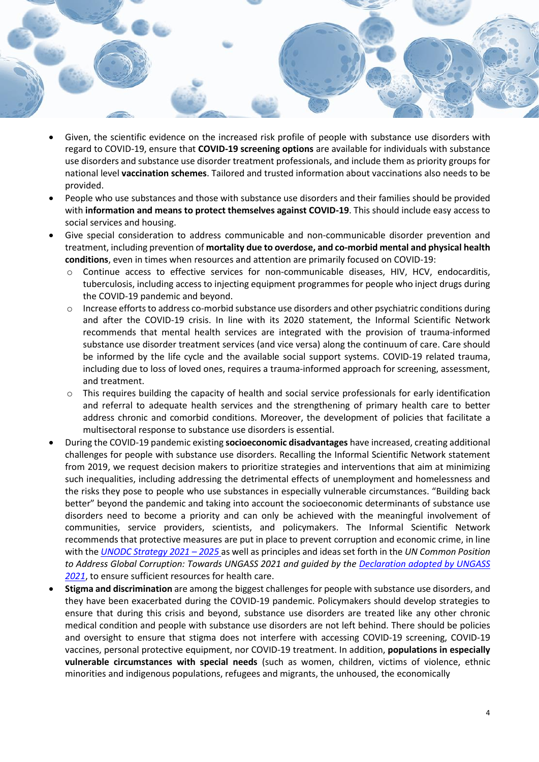

- Given, the scientific evidence on the increased risk profile of people with substance use disorders with regard to COVID-19, ensure that **COVID-19 screening options** are available for individuals with substance use disorders and substance use disorder treatment professionals, and include them as priority groups for national level **vaccination schemes**. Tailored and trusted information about vaccinations also needs to be provided.
- People who use substances and those with substance use disorders and their families should be provided with **information and means to protect themselves against COVID-19**. This should include easy access to social services and housing.
- Give special consideration to address communicable and non-communicable disorder prevention and treatment, including prevention of **mortality due to overdose, and co-morbid mental and physical health conditions**, even in times when resources and attention are primarily focused on COVID-19:
	- o Continue access to effective services for non-communicable diseases, HIV, HCV, endocarditis, tuberculosis, including access to injecting equipment programmes for people who inject drugs during the COVID-19 pandemic and beyond.
	- o Increase efforts to address co-morbid substance use disorders and other psychiatric conditions during and after the COVID-19 crisis. In line with its 2020 statement, the Informal Scientific Network recommends that mental health services are integrated with the provision of trauma-informed substance use disorder treatment services (and vice versa) along the continuum of care. Care should be informed by the life cycle and the available social support systems. COVID-19 related trauma, including due to loss of loved ones, requires a trauma-informed approach for screening, assessment, and treatment.
	- $\circ$  This requires building the capacity of health and social service professionals for early identification and referral to adequate health services and the strengthening of primary health care to better address chronic and comorbid conditions. Moreover, the development of policies that facilitate a multisectoral response to substance use disorders is essential.
- During the COVID-19 pandemic existing **socioeconomic disadvantages** have increased, creating additional challenges for people with substance use disorders. Recalling the Informal Scientific Network statement from 2019, we request decision makers to prioritize strategies and interventions that aim at minimizing such inequalities, including addressing the detrimental effects of unemployment and homelessness and the risks they pose to people who use substances in especially vulnerable circumstances. "Building back better" beyond the pandemic and taking into account the socioeconomic determinants of substance use disorders need to become a priority and can only be achieved with the meaningful involvement of communities, service providers, scientists, and policymakers. The Informal Scientific Network recommends that protective measures are put in place to prevent corruption and economic crime, in line with the *[UNODC Strategy 2021](https://www.unodc.org/documents/commissions/CND/CND_Sessions/CND_63Reconvened/ECN72020_CRP22_ECN152020_CRP3_V2007057.pdf) – 2025* as well as principles and ideas set forth in the *UN Common Position to Address Global Corruption: Towards UNGASS 2021 and guided by the [Declaration adopted by UNGASS](https://ungass2021.unodc.org/ungass2021/index.html)  [2021](https://ungass2021.unodc.org/ungass2021/index.html)*, to ensure sufficient resources for health care.
- **Stigma and discrimination** are among the biggest challenges for people with substance use disorders, and they have been exacerbated during the COVID-19 pandemic. Policymakers should develop strategies to ensure that during this crisis and beyond, substance use disorders are treated like any other chronic medical condition and people with substance use disorders are not left behind. There should be policies and oversight to ensure that stigma does not interfere with accessing COVID-19 screening, COVID-19 vaccines, personal protective equipment, nor COVID-19 treatment. In addition, **populations in especially vulnerable circumstances with special needs** (such as women, children, victims of violence, ethnic minorities and indigenous populations, refugees and migrants, the unhoused, the economically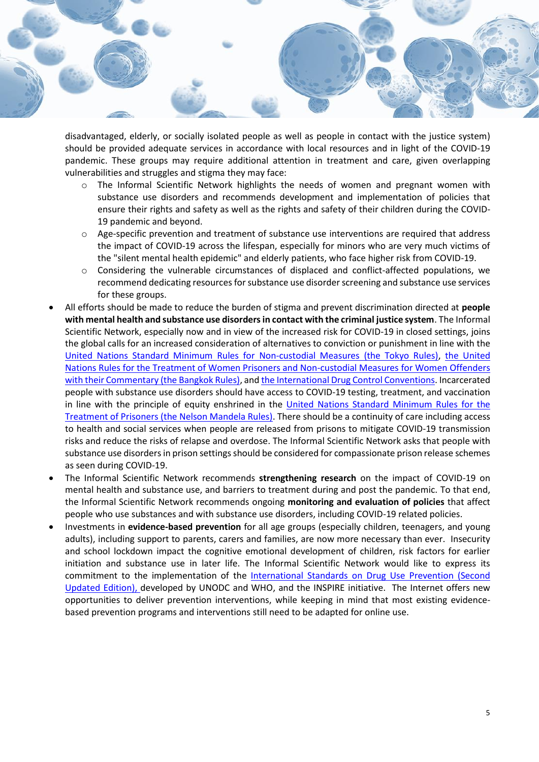

disadvantaged, elderly, or socially isolated people as well as people in contact with the justice system) should be provided adequate services in accordance with local resources and in light of the COVID-19 pandemic. These groups may require additional attention in treatment and care, given overlapping vulnerabilities and struggles and stigma they may face:

- $\circ$  The Informal Scientific Network highlights the needs of women and pregnant women with substance use disorders and recommends development and implementation of policies that ensure their rights and safety as well as the rights and safety of their children during the COVID-19 pandemic and beyond.
- $\circ$  Age-specific prevention and treatment of substance use interventions are required that address the impact of COVID-19 across the lifespan, especially for minors who are very much victims of the "silent mental health epidemic" and elderly patients, who face higher risk from COVID-19.
- o Considering the vulnerable circumstances of displaced and conflict-affected populations, we recommend dedicating resources for substance use disorder screening and substance use services for these groups.
- All efforts should be made to reduce the burden of stigma and prevent discrimination directed at **people with mental health and substance use disorders in contact with the criminal justice system**. The Informal Scientific Network, especially now and in view of the increased risk for COVID-19 in closed settings, joins the global calls for an increased consideration of alternatives to conviction or punishment in line with the [United Nations Standard Minimum Rules for](https://www.unodc.org/pdf/criminal_justice/UN_Standard_Minimum_Rules_for_Non-custodial_Measures_Tokyo_Rules.pdf) Non-custodial Measures (the Tokyo Rules), [the United](https://www.unodc.org/documents/justice-and-prison-reform/Bangkok_Rules_ENG_22032015.pdf)  [Nations Rules for the Treatment of Women Prisoners and Non-custodial Measures for Women Offenders](https://www.unodc.org/documents/justice-and-prison-reform/Bangkok_Rules_ENG_22032015.pdf)  [with their Commentary \(the Bangkok Rules\),](https://www.unodc.org/documents/justice-and-prison-reform/Bangkok_Rules_ENG_22032015.pdf) an[d the International Drug Control Conventions.](https://www.unodc.org/unodc/en/commissions/CND/conventions.html) Incarcerated people with substance use disorders should have access to COVID-19 testing, treatment, and vaccination in line with the principle of equity enshrined in the [United Nations Standard](https://www.unodc.org/documents/justice-and-prison-reform/Nelson_Mandela_Rules-E-ebook.pdf) Minimum Rules for the [Treatment of Prisoners \(the Nelson Mandela Rules\).](https://www.unodc.org/documents/justice-and-prison-reform/Nelson_Mandela_Rules-E-ebook.pdf) There should be a continuity of care including access to health and social services when people are released from prisons to mitigate COVID-19 transmission risks and reduce the risks of relapse and overdose. The Informal Scientific Network asks that people with substance use disorders in prison settings should be considered for compassionate prison release schemes as seen during COVID-19.
- The Informal Scientific Network recommends **strengthening research** on the impact of COVID-19 on mental health and substance use, and barriers to treatment during and post the pandemic. To that end, the Informal Scientific Network recommends ongoing **monitoring and evaluation of policies** that affect people who use substances and with substance use disorders, including COVID-19 related policies.
- Investments in **evidence-based prevention** for all age groups (especially children, teenagers, and young adults), including support to parents, carers and families, are now more necessary than ever. Insecurity and school lockdown impact the cognitive emotional development of children, risk factors for earlier initiation and substance use in later life. The Informal Scientific Network would like to express its commitment to the implementation of the [International Standards on Drug Use Prevention \(Second](https://www.unodc.org/unodc/en/prevention/prevention-standards.html)  [Updated Edition\),](https://www.unodc.org/unodc/en/prevention/prevention-standards.html) developed by UNODC and WHO, and the INSPIRE initiative. The Internet offers new opportunities to deliver prevention interventions, while keeping in mind that most existing evidencebased prevention programs and interventions still need to be adapted for online use.